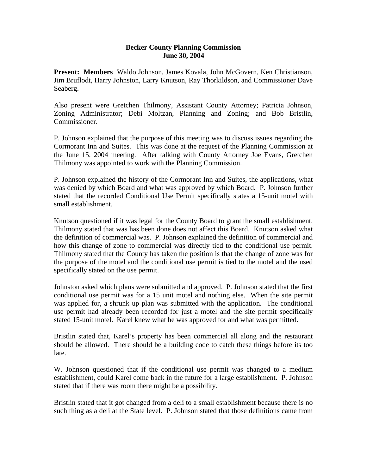## **Becker County Planning Commission June 30, 2004**

**Present: Members** Waldo Johnson, James Kovala, John McGovern, Ken Christianson, Jim Bruflodt, Harry Johnston, Larry Knutson, Ray Thorkildson, and Commissioner Dave Seaberg.

Also present were Gretchen Thilmony, Assistant County Attorney; Patricia Johnson, Zoning Administrator; Debi Moltzan, Planning and Zoning; and Bob Bristlin, Commissioner.

P. Johnson explained that the purpose of this meeting was to discuss issues regarding the Cormorant Inn and Suites. This was done at the request of the Planning Commission at the June 15, 2004 meeting. After talking with County Attorney Joe Evans, Gretchen Thilmony was appointed to work with the Planning Commission.

P. Johnson explained the history of the Cormorant Inn and Suites, the applications, what was denied by which Board and what was approved by which Board. P. Johnson further stated that the recorded Conditional Use Permit specifically states a 15-unit motel with small establishment.

Knutson questioned if it was legal for the County Board to grant the small establishment. Thilmony stated that was has been done does not affect this Board. Knutson asked what the definition of commercial was. P. Johnson explained the definition of commercial and how this change of zone to commercial was directly tied to the conditional use permit. Thilmony stated that the County has taken the position is that the change of zone was for the purpose of the motel and the conditional use permit is tied to the motel and the used specifically stated on the use permit.

Johnston asked which plans were submitted and approved. P. Johnson stated that the first conditional use permit was for a 15 unit motel and nothing else. When the site permit was applied for, a shrunk up plan was submitted with the application. The conditional use permit had already been recorded for just a motel and the site permit specifically stated 15-unit motel. Karel knew what he was approved for and what was permitted.

Bristlin stated that, Karel's property has been commercial all along and the restaurant should be allowed. There should be a building code to catch these things before its too late.

W. Johnson questioned that if the conditional use permit was changed to a medium establishment, could Karel come back in the future for a large establishment. P. Johnson stated that if there was room there might be a possibility.

Bristlin stated that it got changed from a deli to a small establishment because there is no such thing as a deli at the State level. P. Johnson stated that those definitions came from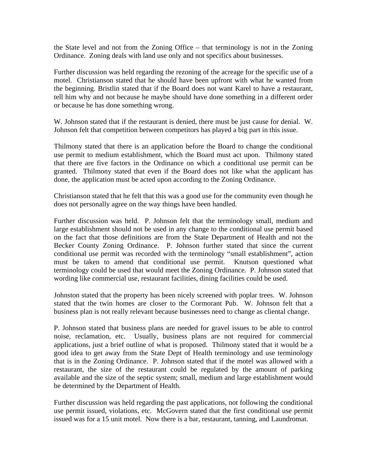the State level and not from the Zoning Office – that terminology is not in the Zoning Ordinance. Zoning deals with land use only and not specifics about businesses.

Further discussion was held regarding the rezoning of the acreage for the specific use of a motel. Christianson stated that he should have been upfront with what he wanted from the beginning. Bristlin stated that if the Board does not want Karel to have a restaurant, tell him why and not because he maybe should have done something in a different order or because he has done something wrong.

W. Johnson stated that if the restaurant is denied, there must be just cause for denial. W. Johnson felt that competition between competitors has played a big part in this issue.

Thilmony stated that there is an application before the Board to change the conditional use permit to medium establishment, which the Board must act upon. Thilmony stated that there are five factors in the Ordinance on which a conditional use permit can be granted. Thilmony stated that even if the Board does not like what the applicant has done, the application must be acted upon according to the Zoning Ordinance.

Christianson stated that he felt that this was a good use for the community even though he does not personally agree on the way things have been handled.

Further discussion was held. P. Johnson felt that the terminology small, medium and large establishment should not be used in any change to the conditional use permit based on the fact that those definitions are from the State Department of Health and not the Becker County Zoning Ordinance. P. Johnson further stated that since the current conditional use permit was recorded with the terminology "small establishment", action must be taken to amend that conditional use permit. Knutson questioned what terminology could be used that would meet the Zoning Ordinance. P. Johnson stated that wording like commercial use, restaurant facilities, dining facilities could be used.

Johnston stated that the property has been nicely screened with poplar trees. W. Johnson stated that the twin homes are closer to the Cormorant Pub. W. Johnson felt that a business plan is not really relevant because businesses need to change as cliental change.

P. Johnson stated that business plans are needed for gravel issues to be able to control noise, reclamation, etc. Usually, business plans are not required for commercial applications, just a brief outline of what is proposed. Thilmony stated that it would be a good idea to get away from the State Dept of Health terminology and use terminology that is in the Zoning Ordinance. P. Johnson stated that if the motel was allowed with a restaurant, the size of the restaurant could be regulated by the amount of parking available and the size of the septic system; small, medium and large establishment would be determined by the Department of Health.

Further discussion was held regarding the past applications, not following the conditional use permit issued, violations, etc. McGovern stated that the first conditional use permit issued was for a 15 unit motel. Now there is a bar, restaurant, tanning, and Laundromat.